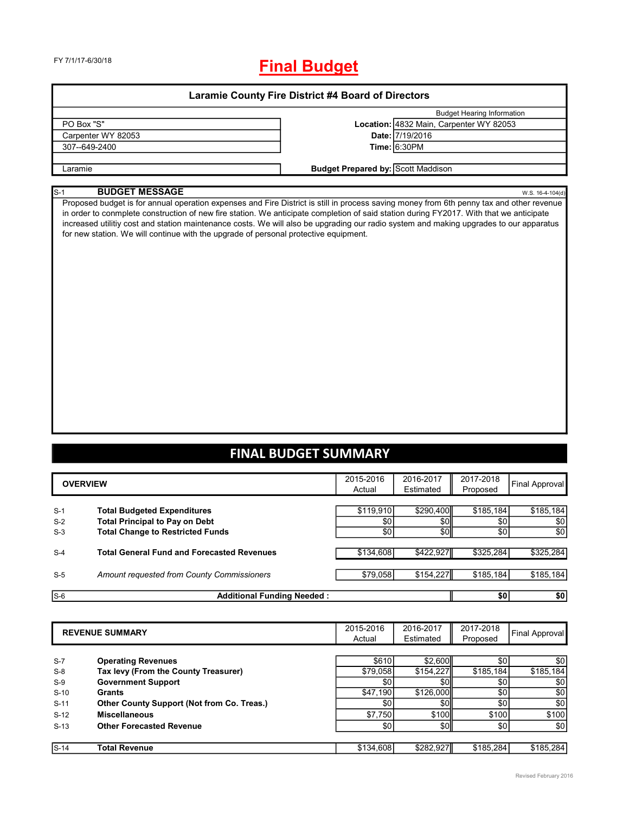| <b>Laramie County Fire District #4 Board of Directors</b> |  |  |
|-----------------------------------------------------------|--|--|
|                                                           |  |  |

|                    | <b>Budget Hearing Information</b>         |
|--------------------|-------------------------------------------|
| PO Box "S"         | Location: 4832 Main, Carpenter WY 82053   |
| Carpenter WY 82053 | Date: 7/19/2016                           |
| 307--649-2400      | Time: 6:30PM                              |
|                    |                                           |
| Laramie            | <b>Budget Prepared by: Scott Maddison</b> |

#### S-1 **BUDGET MESSAGE** W.S. 16-4-104(d)

Proposed budget is for annual operation expenses and Fire District is still in process saving money from 6th penny tax and other revenue in order to conmplete construction of new fire station. We anticipate completion of said station during FY2017. With that we anticipate increased utilitiy cost and station maintenance costs. We will also be upgrading our radio system and making upgrades to our apparatus for new station. We will continue with the upgrade of personal protective equipment.

### **FINAL BUDGET SUMMARY**

|       | <b>OVERVIEW</b>                                   | 2015-2016<br>Actual | 2016-2017<br>Estimated | 2017-2018<br>Proposed | Final Approval   |
|-------|---------------------------------------------------|---------------------|------------------------|-----------------------|------------------|
| $S-1$ | <b>Total Budgeted Expenditures</b>                | \$119,910           | \$290,400              | \$185,184             | \$185,184        |
| $S-2$ | <b>Total Principal to Pay on Debt</b>             | \$0                 | <b>\$0</b>             | \$0                   | \$0              |
| $S-3$ | <b>Total Change to Restricted Funds</b>           | \$0                 | \$0                    | \$0                   | \$0              |
|       |                                                   |                     |                        |                       |                  |
| $S-4$ | <b>Total General Fund and Forecasted Revenues</b> | \$134,608           | \$422,927              | \$325,284             | \$325,284        |
|       |                                                   |                     |                        |                       |                  |
| $S-5$ | Amount requested from County Commissioners        | \$79,058            | \$154,227              | \$185,184             | \$185,184        |
|       |                                                   |                     |                        |                       |                  |
| $S-6$ | <b>Additional Funding Needed:</b>                 |                     |                        | \$0                   | \$0 <sub>1</sub> |

| <b>REVENUE SUMMARY</b> |                                                   | 2015-2016<br>Actual | 2016-2017<br>Estimated | 2017-2018<br>Proposed | Final Approval |
|------------------------|---------------------------------------------------|---------------------|------------------------|-----------------------|----------------|
|                        |                                                   |                     |                        |                       |                |
| $S-7$                  | <b>Operating Revenues</b>                         | \$610               | \$2,600                | \$0                   | \$0            |
| $S-8$                  | Tax levy (From the County Treasurer)              | \$79,058            | \$154,227              | \$185,184             | \$185,184      |
| $S-9$                  | <b>Government Support</b>                         | \$0                 | \$0l                   | \$0                   | \$0            |
| $S-10$                 | Grants                                            | \$47,190            | \$126,000              | \$0                   | \$0            |
| $S-11$                 | <b>Other County Support (Not from Co. Treas.)</b> | \$0                 | \$0                    | \$0                   | \$0            |
| $S-12$                 | <b>Miscellaneous</b>                              | \$7,750             | \$100                  | \$100                 | \$100          |
| $S-13$                 | <b>Other Forecasted Revenue</b>                   | \$0                 | \$0                    | \$0                   | \$0            |
|                        |                                                   |                     |                        |                       |                |
| $S-14$                 | <b>Total Revenue</b>                              | \$134,608           | \$282,927              | \$185,284             | \$185,284      |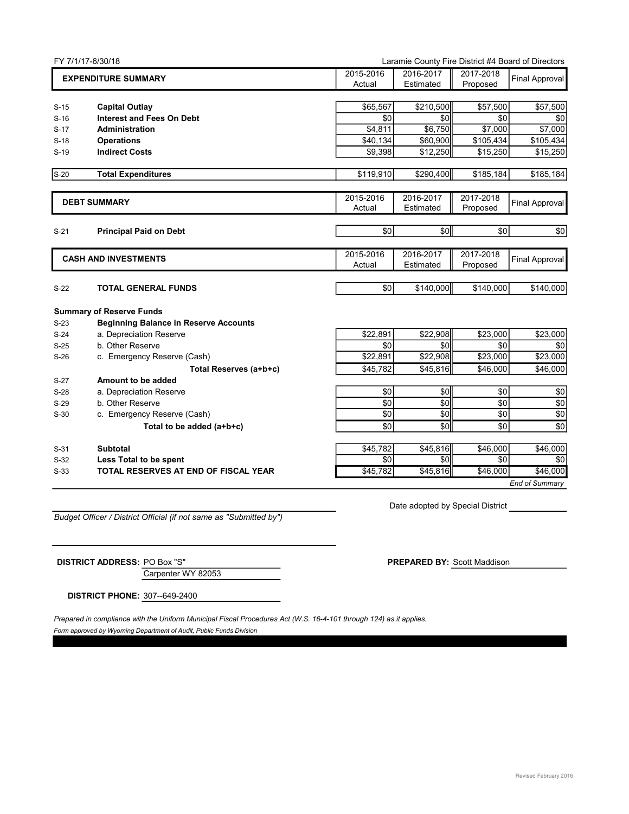|        | FY 7/1/17-6/30/18<br>Laramie County Fire District #4 Board of Directors |                     |                        |                       |                       |
|--------|-------------------------------------------------------------------------|---------------------|------------------------|-----------------------|-----------------------|
|        | <b>EXPENDITURE SUMMARY</b>                                              | 2015-2016<br>Actual | 2016-2017<br>Estimated | 2017-2018<br>Proposed | Final Approval        |
| $S-15$ | <b>Capital Outlay</b>                                                   | \$65.567            | \$210,500              | \$57,500              | \$57,500              |
| $S-16$ | <b>Interest and Fees On Debt</b>                                        | \$0                 | \$0                    | \$0                   | \$0                   |
| $S-17$ | Administration                                                          | \$4,811             | \$6,750                | \$7,000               | \$7,000               |
| $S-18$ | <b>Operations</b>                                                       | \$40,134            | \$60,900               | $\overline{$}105,434$ | \$105,434             |
| $S-19$ | <b>Indirect Costs</b>                                                   | \$9,398             | \$12,250               | \$15,250              | \$15,250              |
| $S-20$ | <b>Total Expenditures</b>                                               | \$119,910           | \$290,400              | \$185,184             | \$185,184             |
|        | <b>DEBT SUMMARY</b>                                                     | 2015-2016<br>Actual | 2016-2017<br>Estimated | 2017-2018<br>Proposed | <b>Final Approval</b> |
| $S-21$ | <b>Principal Paid on Debt</b>                                           | \$0                 | \$0                    | \$0                   | \$0                   |
|        | <b>CASH AND INVESTMENTS</b>                                             |                     | 2016-2017<br>Estimated | 2017-2018<br>Proposed | <b>Final Approval</b> |
| $S-22$ | <b>TOTAL GENERAL FUNDS</b>                                              | \$0                 | \$140,000              | \$140,000             | \$140,000             |
|        | <b>Summary of Reserve Funds</b>                                         |                     |                        |                       |                       |
| $S-23$ | <b>Beginning Balance in Reserve Accounts</b>                            |                     |                        |                       |                       |
| $S-24$ | a. Depreciation Reserve                                                 | \$22,891            | \$22,908               | \$23,000              | \$23,000              |
| $S-25$ | b. Other Reserve                                                        | \$0                 | \$0                    | \$0                   | \$0                   |
| $S-26$ | c. Emergency Reserve (Cash)                                             | \$22,891            | \$22,908               | \$23,000              | \$23,000              |
|        | Total Reserves (a+b+c)                                                  | \$45,782            | \$45,816               | \$46,000              | \$46,000              |
| $S-27$ | Amount to be added                                                      |                     |                        |                       |                       |
| $S-28$ | a. Depreciation Reserve                                                 | \$0                 | \$0                    | \$0                   | \$0                   |
| $S-29$ | b. Other Reserve                                                        | \$0                 | \$0                    | \$0                   | \$0                   |
| $S-30$ | c. Emergency Reserve (Cash)                                             | \$0                 | \$0                    | \$0                   | \$0                   |
|        | Total to be added (a+b+c)                                               | \$0                 | \$0                    | \$0                   | \$0                   |
| $S-31$ | <b>Subtotal</b>                                                         | \$45,782            | \$45,816               | \$46,000              | \$46,000              |
| $S-32$ | Less Total to be spent                                                  | \$0                 | $\overline{30}$        | $\overline{50}$       | \$0                   |
| $S-33$ | TOTAL RESERVES AT END OF FISCAL YEAR                                    | \$45,782            | \$45,816               | \$46,000              | \$46,000              |
|        |                                                                         |                     |                        |                       | <b>End of Summary</b> |

*Budget Officer / District Official (if not same as "Submitted by")*

Date adopted by Special District

Carpenter WY 82053 **DISTRICT ADDRESS:** PO Box "S" **PREPARED BY:** Scott Maddison

**DISTRICT PHONE:** 307--649-2400

Prepared in compliance with the Uniform Municipal Fiscal Procedures Act (W.S. 16-4-101 through 124) as it applies.

*Form approved by Wyoming Department of Audit, Public Funds Division*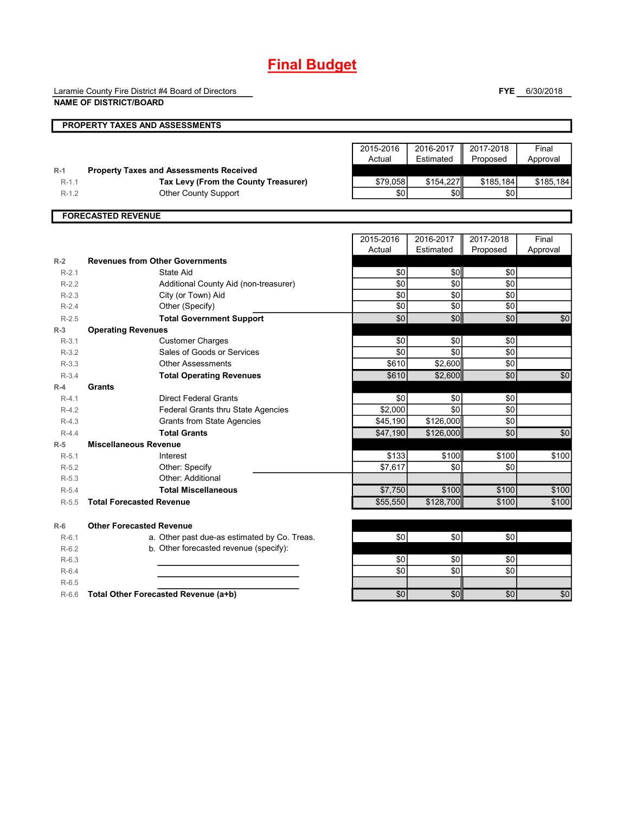Laramie County Fire District #4 Board of Directors

**NAME OF DISTRICT/BOARD**

**FYE** 6/30/2018

|           | PROPERTY TAXES AND ASSESSMENTS                 |                 |                 |                 |                 |
|-----------|------------------------------------------------|-----------------|-----------------|-----------------|-----------------|
|           |                                                |                 |                 |                 |                 |
|           |                                                | 2015-2016       | 2016-2017       | 2017-2018       | Final           |
|           |                                                | Actual          | Estimated       | Proposed        | Approval        |
| $R-1$     | <b>Property Taxes and Assessments Received</b> |                 |                 |                 |                 |
| $R-1.1$   | Tax Levy (From the County Treasurer)           | \$79,058        | \$154,227       | \$185,184       | \$185,184       |
| $R-1.2$   | <b>Other County Support</b>                    | \$0             | \$0             | \$0             |                 |
|           |                                                |                 |                 |                 |                 |
|           | <b>FORECASTED REVENUE</b>                      |                 |                 |                 |                 |
|           |                                                |                 |                 |                 |                 |
|           |                                                | 2015-2016       | 2016-2017       | 2017-2018       | Final           |
|           |                                                | Actual          | Estimated       | Proposed        | Approval        |
| $R-2$     | <b>Revenues from Other Governments</b>         |                 |                 |                 |                 |
| $R-2.1$   | State Aid                                      | \$0             | \$0             | \$0             |                 |
| $R-2.2$   | Additional County Aid (non-treasurer)          | \$0             | \$0             | \$0             |                 |
| $R-2.3$   | City (or Town) Aid                             | \$0             | \$0             | \$0             |                 |
| $R-2.4$   | Other (Specify)                                | $\overline{50}$ | $\overline{50}$ | $\overline{50}$ |                 |
| $R-2.5$   | <b>Total Government Support</b>                | \$0             | \$0             | \$0             | \$0             |
| $R-3$     | <b>Operating Revenues</b>                      |                 |                 |                 |                 |
| $R-3.1$   | <b>Customer Charges</b>                        | \$0             | \$0             | \$0             |                 |
| $R-3.2$   | Sales of Goods or Services                     | \$0             | \$0             | \$0             |                 |
| $R - 3.3$ | <b>Other Assessments</b>                       | \$610           | \$2,600         | $\sqrt{6}$      |                 |
| $R - 3.4$ | <b>Total Operating Revenues</b>                | \$610           | \$2,600         | \$0             | $\sqrt{6}$      |
| $R-4$     | Grants                                         |                 |                 |                 |                 |
| $R-4.1$   | <b>Direct Federal Grants</b>                   | \$0             | \$0             | \$0             |                 |
| $R-4.2$   | Federal Grants thru State Agencies             | \$2.000         | \$0             | \$0             |                 |
| $R-4.3$   | <b>Grants from State Agencies</b>              | \$45,190        | \$126,000       | \$0             |                 |
| $R-4.4$   | <b>Total Grants</b>                            | \$47,190        | \$126,000       | \$0             | $\overline{50}$ |
| $R-5$     | <b>Miscellaneous Revenue</b>                   |                 |                 |                 |                 |
| $R-5.1$   | Interest                                       | \$133           | \$100           | \$100           | \$100           |
| $R-5.2$   | Other: Specify                                 | \$7,617         | \$0             | \$0             |                 |
| $R-5.3$   | Other: Additional                              |                 |                 |                 |                 |
| $R-5.4$   | <b>Total Miscellaneous</b>                     | \$7,750         | \$100           | \$100           | \$100           |
| $R-5.5$   | <b>Total Forecasted Revenue</b>                | \$55,550        | \$128,700       | \$100           | \$100           |
| $R-6$     | <b>Other Forecasted Revenue</b>                |                 |                 |                 |                 |
| $R-6.1$   | a. Other past due-as estimated by Co. Treas.   | \$0             | \$0             | \$0             |                 |
| $R-6.2$   | b. Other forecasted revenue (specify):         |                 |                 |                 |                 |
| $R-6.3$   |                                                | \$0             | \$0             | \$0             |                 |
| $R-6.4$   |                                                | \$0             | \$0             | \$0             |                 |
| $R-6.5$   |                                                |                 |                 |                 |                 |
| $R-6.6$   | Total Other Forecasted Revenue (a+b)           | \$0             | \$0             | \$0             | \$0             |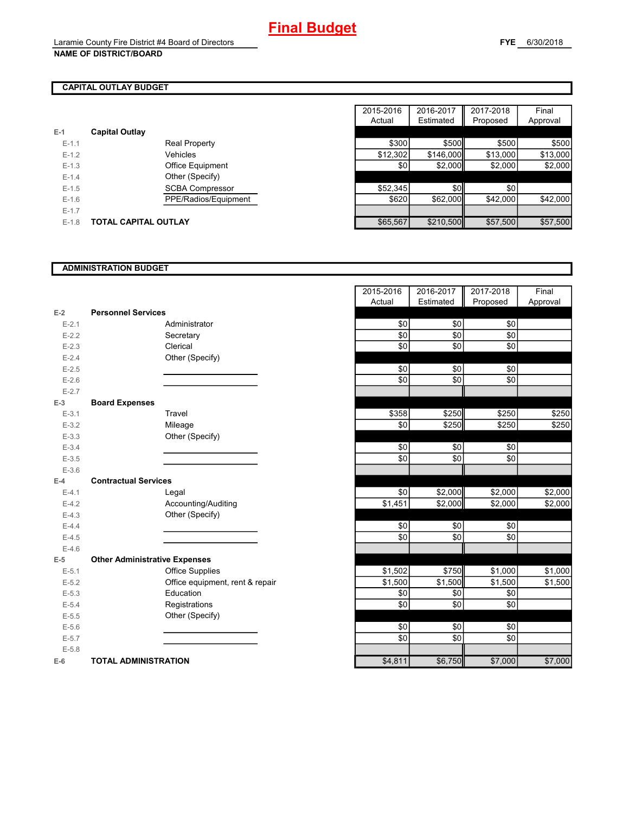### **CAPITAL OUTLAY BUDGET**

| $E-1$     | <b>Capital Outlay</b>       |          |           |          |
|-----------|-----------------------------|----------|-----------|----------|
| $E-1.1$   | <b>Real Property</b>        | \$300    | \$500     | \$500    |
| $E-1.2$   | Vehicles                    | \$12,302 | \$146,000 | \$13,000 |
| $E-1.3$   | <b>Office Equipment</b>     | \$0      | \$2,000   | \$2,000  |
| $E - 1.4$ | Other (Specify)             |          |           |          |
| $E-1.5$   | <b>SCBA Compressor</b>      | \$52,345 | \$0       | \$0      |
| $E-1.6$   | PPE/Radios/Equipment        | \$620    | \$62,000  | \$42,000 |
| $E-1.7$   |                             |          |           |          |
| $E-1.8$   | <b>TOTAL CAPITAL OUTLAY</b> | \$65,567 | \$210,500 | \$57,500 |

|           |                             |                        | 2015-2016 | 2016-2017 | 2017-2018 | Final    |
|-----------|-----------------------------|------------------------|-----------|-----------|-----------|----------|
|           |                             |                        | Actual    | Estimated | Proposed  | Approval |
|           | <b>Capital Outlay</b>       |                        |           |           |           |          |
| $E-1.1$   |                             | <b>Real Property</b>   | \$300     | \$500     | \$500     | \$500    |
| $E-1.2$   |                             | Vehicles               | \$12,302  | \$146,000 | \$13,000  | \$13,000 |
| $E-1.3$   |                             | Office Equipment       | \$0       | \$2,000   | \$2,000   | \$2,000  |
| $E - 1.4$ |                             | Other (Specify)        |           |           |           |          |
| $E-1.5$   |                             | <b>SCBA Compressor</b> | \$52,345  | \$0       | \$0       |          |
| $E-1.6$   |                             | PPE/Radios/Equipment   | \$620     | \$62,000  | \$42,000  | \$42,000 |
| $E - 1.7$ |                             |                        |           |           |           |          |
| $E-1.8$   | <b>TOTAL CAPITAL OUTLAY</b> |                        | \$65,567  | \$210,500 | \$57,500  | \$57,500 |

### **ADMINISTRATION BUDGET**

|           |                                      |                                 | Auuai   | Lourideu | <b>FIUPUSEU</b> |
|-----------|--------------------------------------|---------------------------------|---------|----------|-----------------|
| $E-2$     | <b>Personnel Services</b>            |                                 |         |          |                 |
| $E - 2.1$ |                                      | Administrator                   | \$0     | \$0      | \$0             |
| $E-2.2$   |                                      | Secretary                       | \$0     | \$0      | \$0             |
| $E - 2.3$ |                                      | Clerical                        | \$0     | \$0      | \$0             |
| $E - 2.4$ |                                      | Other (Specify)                 |         |          |                 |
| $E-2.5$   |                                      |                                 | \$0     | \$0      | \$0             |
| $E-2.6$   |                                      |                                 | \$0     | \$0      | \$0             |
| $E - 2.7$ |                                      |                                 |         |          |                 |
| $E-3$     | <b>Board Expenses</b>                |                                 |         |          |                 |
| $E-3.1$   |                                      | Travel                          | \$358   | \$250    | \$250           |
| $E - 3.2$ |                                      | Mileage                         | \$0     | \$250    | \$250           |
| $E - 3.3$ |                                      | Other (Specify)                 |         |          |                 |
| $E - 3.4$ |                                      |                                 | \$0     | \$0      | \$0             |
| $E - 3.5$ |                                      |                                 | \$0     | \$0      | \$0             |
| $E-3.6$   |                                      |                                 |         |          |                 |
| $E-4$     | <b>Contractual Services</b>          |                                 |         |          |                 |
| $E-4.1$   |                                      | Legal                           | \$0     | \$2,000  | \$2,000         |
| $E-4.2$   |                                      | Accounting/Auditing             | \$1,451 | \$2,000  | \$2,000         |
| $E - 4.3$ |                                      | Other (Specify)                 |         |          |                 |
| $E-4.4$   |                                      |                                 | \$0     | \$0      | \$0             |
| $E-4.5$   |                                      |                                 | \$0     | \$0      | \$0             |
| $E-4.6$   |                                      |                                 |         |          |                 |
| $E-5$     | <b>Other Administrative Expenses</b> |                                 |         |          |                 |
| $E-5.1$   |                                      | <b>Office Supplies</b>          | \$1,502 | \$750    | \$1,000         |
| $E-5.2$   |                                      | Office equipment, rent & repair | \$1,500 | \$1,500  | \$1,500         |
| $E - 5.3$ |                                      | Education                       | \$0     | \$0      | \$0             |
| $E - 5.4$ |                                      | Registrations                   | \$0     | \$0      | \$0             |
| $E - 5.5$ |                                      | Other (Specify)                 |         |          |                 |
| $E - 5.6$ |                                      |                                 | \$0     | \$0      | \$0             |
| $E - 5.7$ |                                      |                                 | \$0     | \$0      | \$0             |
| $E - 5.8$ |                                      |                                 |         |          |                 |
| $E-6$     | <b>TOTAL ADMINISTRATION</b>          |                                 | \$4,811 | \$6,750  | \$7,000         |

|                          |                                      | 2015-2016 | 2016-2017 | 2017-2018 | Final    |
|--------------------------|--------------------------------------|-----------|-----------|-----------|----------|
|                          |                                      | Actual    | Estimated | Proposed  | Approval |
| $\overline{a}$           | <b>Personnel Services</b>            |           |           |           |          |
| $E - 2.1$                | Administrator                        | \$0       | \$0       | \$0       |          |
| $E - 2.2$                | Secretary                            | \$0       | \$0       | \$0       |          |
| $E - 2.3$                | Clerical                             | \$0       | \$0       | \$0       |          |
| $E - 2.4$                | Other (Specify)                      |           |           |           |          |
| $E - 2.5$                |                                      | \$0       | \$0       | \$0       |          |
| $E - 2.6$                |                                      | \$0       | \$0       | \$0       |          |
| $E - 2.7$                |                                      |           |           |           |          |
| $\overline{\phantom{0}}$ | <b>Board Expenses</b>                |           |           |           |          |
| $E-3.1$                  | Travel                               | \$358     | \$250     | \$250     | \$250    |
| $E - 3.2$                | Mileage                              | \$0       | \$250     | \$250     | \$250    |
| $E - 3.3$                | Other (Specify)                      |           |           |           |          |
| $E - 3.4$                |                                      | \$0       | \$0       | \$0       |          |
| $E - 3.5$                |                                      | \$0       | \$0       | \$0       |          |
| $E - 3.6$                |                                      |           |           |           |          |
| ļ.                       | <b>Contractual Services</b>          |           |           |           |          |
| $E - 4.1$                | Legal                                | \$0       | \$2,000   | \$2,000   | \$2,000  |
| $E - 4.2$                | Accounting/Auditing                  | \$1,451   | \$2,000   | \$2,000   | \$2,000  |
| $E - 4.3$                | Other (Specify)                      |           |           |           |          |
| $E - 4.4$                |                                      | \$0       | \$0       | \$0       |          |
| $E-4.5$                  |                                      | \$0       | \$0       | \$0       |          |
| $E - 4.6$                |                                      |           |           |           |          |
| $\overline{\mathbf{5}}$  | <b>Other Administrative Expenses</b> |           |           |           |          |
| $E - 5.1$                | <b>Office Supplies</b>               | \$1,502   | \$750     | \$1,000   | \$1,000  |
| $E - 5.2$                | Office equipment, rent & repair      | \$1,500   | \$1,500   | \$1,500   | \$1,500  |
| $E - 5.3$                | Education                            | \$0       | \$0       | \$0       |          |
| $E - 5.4$                | Registrations                        | \$0       | \$0       | \$0       |          |
| $E - 5.5$                | Other (Specify)                      |           |           |           |          |
| $E - 5.6$                |                                      | \$0       | \$0       | \$0       |          |
| $E - 5.7$                |                                      | \$0       | \$0       | \$0       |          |
| $E - 5.8$                |                                      |           |           |           |          |
| ì                        | <b>TOTAL ADMINISTRATION</b>          | \$4,811   | \$6,750   | \$7,000   | \$7,000  |
|                          |                                      |           |           |           |          |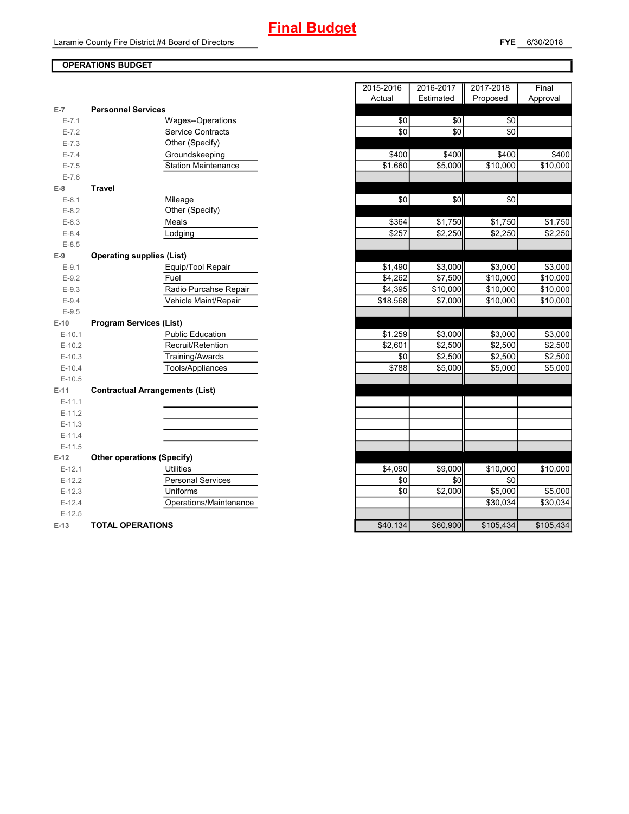### **OPERATIONS BUDGET**

| \$0<br>\$0<br>$E - 7.1$<br><b>Wages--Operations</b><br>\$0<br>\$0<br><b>Service Contracts</b><br>$E - 7.2$<br>Other (Specify)<br>$E - 7.3$<br>\$400<br>\$400<br>$E - 7.4$<br>Groundskeeping<br><b>Station Maintenance</b><br>\$1,660<br>\$5,000<br>$E - 7.5$<br>$E - 7.6$<br><b>Travel</b><br>$E-8$<br>$\sqrt{6}$<br>\$0<br>$E-8.1$<br>Mileage<br>Other (Specify)<br>$E-8.2$<br>\$1,750<br>\$364<br>Meals<br>$E-8.3$<br>\$257<br>\$2,250<br>$E - 8.4$<br>Lodging<br>$E-8.5$<br><b>Operating supplies (List)</b><br>$E-9$<br>\$3,000<br>\$1,490<br>$E-9.1$<br>Equip/Tool Repair<br>\$7,500<br>$E-9.2$<br>Fuel<br>\$4,262<br>Radio Purcahse Repair<br>\$4,395<br>\$10,000<br>$E-9.3$<br>\$18,568<br>$E - 9.4$<br>Vehicle Maint/Repair<br>\$7,000<br>$E-9.5$<br>$E-10$<br><b>Program Services (List)</b><br><b>Public Education</b><br>\$1,259<br>\$3,000<br>$E-10.1$<br>$E-10.2$<br>Recruit/Retention<br>\$2,601<br>\$2,500<br>Training/Awards<br>\$0<br>\$2,500<br>$E-10.3$<br>\$788<br>Tools/Appliances<br>\$5,000<br>$E-10.4$<br>$E-10.5$<br><b>Contractual Arrangements (List)</b><br>E-11<br>$E-11.1$<br>$E-11.2$<br>$E-11.3$<br>$E-11.4$<br>$E-11.5$<br><b>Other operations (Specify)</b><br>$E-12$<br><b>Utilities</b><br>\$4,090<br>\$9,000<br>$E-12.1$<br>\$0<br><b>Personal Services</b><br>\$0<br>$E-12.2$<br>Uniforms<br>\$2,000<br>$E-12.3$<br>\$0<br>Operations/Maintenance<br>$E-12.4$<br>$E-12.5$<br>\$40,134<br>\$60,900<br>$E-13$<br><b>TOTAL OPERATIONS</b> | $E-7$ | <b>Personnel Services</b> |  |           |
|------------------------------------------------------------------------------------------------------------------------------------------------------------------------------------------------------------------------------------------------------------------------------------------------------------------------------------------------------------------------------------------------------------------------------------------------------------------------------------------------------------------------------------------------------------------------------------------------------------------------------------------------------------------------------------------------------------------------------------------------------------------------------------------------------------------------------------------------------------------------------------------------------------------------------------------------------------------------------------------------------------------------------------------------------------------------------------------------------------------------------------------------------------------------------------------------------------------------------------------------------------------------------------------------------------------------------------------------------------------------------------------------------------------------------------------------------------------------------|-------|---------------------------|--|-----------|
|                                                                                                                                                                                                                                                                                                                                                                                                                                                                                                                                                                                                                                                                                                                                                                                                                                                                                                                                                                                                                                                                                                                                                                                                                                                                                                                                                                                                                                                                              |       |                           |  | \$0       |
|                                                                                                                                                                                                                                                                                                                                                                                                                                                                                                                                                                                                                                                                                                                                                                                                                                                                                                                                                                                                                                                                                                                                                                                                                                                                                                                                                                                                                                                                              |       |                           |  | \$0       |
|                                                                                                                                                                                                                                                                                                                                                                                                                                                                                                                                                                                                                                                                                                                                                                                                                                                                                                                                                                                                                                                                                                                                                                                                                                                                                                                                                                                                                                                                              |       |                           |  |           |
|                                                                                                                                                                                                                                                                                                                                                                                                                                                                                                                                                                                                                                                                                                                                                                                                                                                                                                                                                                                                                                                                                                                                                                                                                                                                                                                                                                                                                                                                              |       |                           |  | \$400     |
|                                                                                                                                                                                                                                                                                                                                                                                                                                                                                                                                                                                                                                                                                                                                                                                                                                                                                                                                                                                                                                                                                                                                                                                                                                                                                                                                                                                                                                                                              |       |                           |  | \$10,000  |
|                                                                                                                                                                                                                                                                                                                                                                                                                                                                                                                                                                                                                                                                                                                                                                                                                                                                                                                                                                                                                                                                                                                                                                                                                                                                                                                                                                                                                                                                              |       |                           |  |           |
|                                                                                                                                                                                                                                                                                                                                                                                                                                                                                                                                                                                                                                                                                                                                                                                                                                                                                                                                                                                                                                                                                                                                                                                                                                                                                                                                                                                                                                                                              |       |                           |  |           |
|                                                                                                                                                                                                                                                                                                                                                                                                                                                                                                                                                                                                                                                                                                                                                                                                                                                                                                                                                                                                                                                                                                                                                                                                                                                                                                                                                                                                                                                                              |       |                           |  | \$0       |
|                                                                                                                                                                                                                                                                                                                                                                                                                                                                                                                                                                                                                                                                                                                                                                                                                                                                                                                                                                                                                                                                                                                                                                                                                                                                                                                                                                                                                                                                              |       |                           |  |           |
|                                                                                                                                                                                                                                                                                                                                                                                                                                                                                                                                                                                                                                                                                                                                                                                                                                                                                                                                                                                                                                                                                                                                                                                                                                                                                                                                                                                                                                                                              |       |                           |  | \$1,750   |
|                                                                                                                                                                                                                                                                                                                                                                                                                                                                                                                                                                                                                                                                                                                                                                                                                                                                                                                                                                                                                                                                                                                                                                                                                                                                                                                                                                                                                                                                              |       |                           |  | \$2,250   |
|                                                                                                                                                                                                                                                                                                                                                                                                                                                                                                                                                                                                                                                                                                                                                                                                                                                                                                                                                                                                                                                                                                                                                                                                                                                                                                                                                                                                                                                                              |       |                           |  |           |
|                                                                                                                                                                                                                                                                                                                                                                                                                                                                                                                                                                                                                                                                                                                                                                                                                                                                                                                                                                                                                                                                                                                                                                                                                                                                                                                                                                                                                                                                              |       |                           |  |           |
|                                                                                                                                                                                                                                                                                                                                                                                                                                                                                                                                                                                                                                                                                                                                                                                                                                                                                                                                                                                                                                                                                                                                                                                                                                                                                                                                                                                                                                                                              |       |                           |  | \$3,000   |
|                                                                                                                                                                                                                                                                                                                                                                                                                                                                                                                                                                                                                                                                                                                                                                                                                                                                                                                                                                                                                                                                                                                                                                                                                                                                                                                                                                                                                                                                              |       |                           |  | \$10,000  |
|                                                                                                                                                                                                                                                                                                                                                                                                                                                                                                                                                                                                                                                                                                                                                                                                                                                                                                                                                                                                                                                                                                                                                                                                                                                                                                                                                                                                                                                                              |       |                           |  | \$10,000  |
|                                                                                                                                                                                                                                                                                                                                                                                                                                                                                                                                                                                                                                                                                                                                                                                                                                                                                                                                                                                                                                                                                                                                                                                                                                                                                                                                                                                                                                                                              |       |                           |  | \$10,000  |
|                                                                                                                                                                                                                                                                                                                                                                                                                                                                                                                                                                                                                                                                                                                                                                                                                                                                                                                                                                                                                                                                                                                                                                                                                                                                                                                                                                                                                                                                              |       |                           |  |           |
|                                                                                                                                                                                                                                                                                                                                                                                                                                                                                                                                                                                                                                                                                                                                                                                                                                                                                                                                                                                                                                                                                                                                                                                                                                                                                                                                                                                                                                                                              |       |                           |  |           |
|                                                                                                                                                                                                                                                                                                                                                                                                                                                                                                                                                                                                                                                                                                                                                                                                                                                                                                                                                                                                                                                                                                                                                                                                                                                                                                                                                                                                                                                                              |       |                           |  | \$3,000   |
|                                                                                                                                                                                                                                                                                                                                                                                                                                                                                                                                                                                                                                                                                                                                                                                                                                                                                                                                                                                                                                                                                                                                                                                                                                                                                                                                                                                                                                                                              |       |                           |  | \$2,500   |
|                                                                                                                                                                                                                                                                                                                                                                                                                                                                                                                                                                                                                                                                                                                                                                                                                                                                                                                                                                                                                                                                                                                                                                                                                                                                                                                                                                                                                                                                              |       |                           |  | \$2,500   |
|                                                                                                                                                                                                                                                                                                                                                                                                                                                                                                                                                                                                                                                                                                                                                                                                                                                                                                                                                                                                                                                                                                                                                                                                                                                                                                                                                                                                                                                                              |       |                           |  | \$5,000   |
|                                                                                                                                                                                                                                                                                                                                                                                                                                                                                                                                                                                                                                                                                                                                                                                                                                                                                                                                                                                                                                                                                                                                                                                                                                                                                                                                                                                                                                                                              |       |                           |  |           |
|                                                                                                                                                                                                                                                                                                                                                                                                                                                                                                                                                                                                                                                                                                                                                                                                                                                                                                                                                                                                                                                                                                                                                                                                                                                                                                                                                                                                                                                                              |       |                           |  |           |
|                                                                                                                                                                                                                                                                                                                                                                                                                                                                                                                                                                                                                                                                                                                                                                                                                                                                                                                                                                                                                                                                                                                                                                                                                                                                                                                                                                                                                                                                              |       |                           |  |           |
|                                                                                                                                                                                                                                                                                                                                                                                                                                                                                                                                                                                                                                                                                                                                                                                                                                                                                                                                                                                                                                                                                                                                                                                                                                                                                                                                                                                                                                                                              |       |                           |  |           |
|                                                                                                                                                                                                                                                                                                                                                                                                                                                                                                                                                                                                                                                                                                                                                                                                                                                                                                                                                                                                                                                                                                                                                                                                                                                                                                                                                                                                                                                                              |       |                           |  |           |
|                                                                                                                                                                                                                                                                                                                                                                                                                                                                                                                                                                                                                                                                                                                                                                                                                                                                                                                                                                                                                                                                                                                                                                                                                                                                                                                                                                                                                                                                              |       |                           |  |           |
|                                                                                                                                                                                                                                                                                                                                                                                                                                                                                                                                                                                                                                                                                                                                                                                                                                                                                                                                                                                                                                                                                                                                                                                                                                                                                                                                                                                                                                                                              |       |                           |  |           |
|                                                                                                                                                                                                                                                                                                                                                                                                                                                                                                                                                                                                                                                                                                                                                                                                                                                                                                                                                                                                                                                                                                                                                                                                                                                                                                                                                                                                                                                                              |       |                           |  |           |
|                                                                                                                                                                                                                                                                                                                                                                                                                                                                                                                                                                                                                                                                                                                                                                                                                                                                                                                                                                                                                                                                                                                                                                                                                                                                                                                                                                                                                                                                              |       |                           |  | \$10,000  |
|                                                                                                                                                                                                                                                                                                                                                                                                                                                                                                                                                                                                                                                                                                                                                                                                                                                                                                                                                                                                                                                                                                                                                                                                                                                                                                                                                                                                                                                                              |       |                           |  | \$0       |
|                                                                                                                                                                                                                                                                                                                                                                                                                                                                                                                                                                                                                                                                                                                                                                                                                                                                                                                                                                                                                                                                                                                                                                                                                                                                                                                                                                                                                                                                              |       |                           |  | \$5,000   |
|                                                                                                                                                                                                                                                                                                                                                                                                                                                                                                                                                                                                                                                                                                                                                                                                                                                                                                                                                                                                                                                                                                                                                                                                                                                                                                                                                                                                                                                                              |       |                           |  | \$30,034  |
|                                                                                                                                                                                                                                                                                                                                                                                                                                                                                                                                                                                                                                                                                                                                                                                                                                                                                                                                                                                                                                                                                                                                                                                                                                                                                                                                                                                                                                                                              |       |                           |  |           |
|                                                                                                                                                                                                                                                                                                                                                                                                                                                                                                                                                                                                                                                                                                                                                                                                                                                                                                                                                                                                                                                                                                                                                                                                                                                                                                                                                                                                                                                                              |       |                           |  | \$105,434 |

|                |                                        | 2015-2016 | 2016-2017 | 2017-2018 | Final     |
|----------------|----------------------------------------|-----------|-----------|-----------|-----------|
|                |                                        | Actual    | Estimated | Proposed  | Approval  |
| $\overline{7}$ | <b>Personnel Services</b>              |           |           |           |           |
| $E - 7.1$      | Wages--Operations                      | \$0       | \$0       | \$0       |           |
| $E - 7.2$      | <b>Service Contracts</b>               | \$0       | \$0       | \$0       |           |
| $E - 7.3$      | Other (Specify)                        |           |           |           |           |
| $E - 7.4$      | Groundskeeping                         | \$400     | \$400     | \$400     | \$400     |
| $E - 7.5$      | <b>Station Maintenance</b>             | \$1,660   | \$5,000   | \$10,000  | \$10,000  |
| $E - 7.6$      |                                        |           |           |           |           |
| 8              | <b>Travel</b>                          |           |           |           |           |
| $E-8.1$        | Mileage                                | \$0       | \$0       | \$0       |           |
| $E-8.2$        | Other (Specify)                        |           |           |           |           |
| $E-8.3$        | Meals                                  | \$364     | \$1,750   | \$1,750   | \$1,750   |
| $E - 8.4$      | Lodging                                | \$257     | \$2,250   | \$2,250   | \$2,250   |
| $E-8.5$        |                                        |           |           |           |           |
| 9              | <b>Operating supplies (List)</b>       |           |           |           |           |
| $E-9.1$        | Equip/Tool Repair                      | \$1,490   | \$3,000   | \$3,000   | \$3,000   |
| $E-9.2$        | Fuel                                   | \$4,262   | \$7,500   | \$10,000  | \$10,000  |
| $E-9.3$        | Radio Purcahse Repair                  | \$4,395   | \$10,000  | \$10,000  | \$10,000  |
| $E-9.4$        | Vehicle Maint/Repair                   | \$18,568  | \$7,000   | \$10,000  | \$10,000  |
| $E-9.5$        |                                        |           |           |           |           |
| 10             | <b>Program Services (List)</b>         |           |           |           |           |
| $E-10.1$       | <b>Public Education</b>                | \$1,259   | \$3,000   | \$3,000   | \$3,000   |
| $E-10.2$       | Recruit/Retention                      | \$2,601   | \$2,500   | \$2,500   | \$2,500   |
| $E-10.3$       | Training/Awards                        | \$0       | \$2,500   | \$2,500   | \$2,500   |
| $E-10.4$       | Tools/Appliances                       | \$788     | \$5,000   | \$5,000   | \$5,000   |
| $E-10.5$       |                                        |           |           |           |           |
| 11             | <b>Contractual Arrangements (List)</b> |           |           |           |           |
| $E-11.1$       |                                        |           |           |           |           |
| $E-11.2$       |                                        |           |           |           |           |
| $E-11.3$       |                                        |           |           |           |           |
| $E-11.4$       |                                        |           |           |           |           |
| $E-11.5$       |                                        |           |           |           |           |
| 12             | <b>Other operations (Specify)</b>      |           |           |           |           |
| $E-12.1$       | <b>Utilities</b>                       | \$4,090   | \$9,000   | \$10,000  | \$10,000  |
| $E-12.2$       | <b>Personal Services</b>               | \$0       | \$0       | \$0       |           |
| $E-12.3$       | Uniforms                               | \$0       | \$2,000   | \$5,000   | \$5,000   |
| $E-12.4$       | Operations/Maintenance                 |           |           | \$30,034  | \$30,034  |
| $E-12.5$       |                                        |           |           |           |           |
| 13             | <b>TOTAL OPERATIONS</b>                | \$40,134  | \$60,900  | \$105,434 | \$105,434 |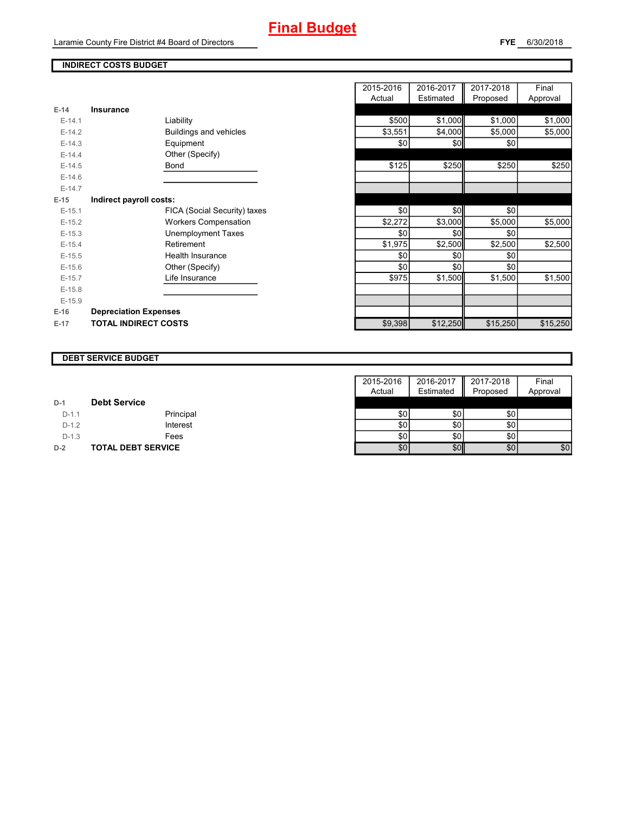Laramie County Fire District #4 Board of Directors

### **INDIRECT COSTS BUDGET**

| $E-14$   | <b>Insurance</b>             |         |          |          |          |
|----------|------------------------------|---------|----------|----------|----------|
| $E-14.1$ | Liability                    | \$500   | \$1,000  | \$1,000  | \$1,000  |
| $E-14.2$ | Buildings and vehicles       | \$3,551 | \$4,000  | \$5,000  | \$5,000  |
| $E-14.3$ | Equipment                    | \$0     | \$0      | \$0      |          |
| $E-14.4$ | Other (Specify)              |         |          |          |          |
| $E-14.5$ | Bond                         | \$125   | \$250    | \$250    | \$250    |
| $E-14.6$ |                              |         |          |          |          |
| $E-14.7$ |                              |         |          |          |          |
| $E-15$   | Indirect payroll costs:      |         |          |          |          |
| $E-15.1$ | FICA (Social Security) taxes | \$0     | \$0      | \$0      |          |
| $E-15.2$ | <b>Workers Compensation</b>  | \$2,272 | \$3,000  | \$5,000  | \$5,000  |
| $E-15.3$ | <b>Unemployment Taxes</b>    | \$0     | \$0      | \$0      |          |
| $E-15.4$ | Retirement                   | \$1,975 | \$2,500  | \$2,500  | \$2,500  |
| $E-15.5$ | <b>Health Insurance</b>      | \$0     | \$0      | \$0      |          |
| $E-15.6$ | Other (Specify)              | \$0     | \$0      | \$0      |          |
| $E-15.7$ | Life Insurance               | \$975   | \$1,500  | \$1,500  | \$1,500  |
| $E-15.8$ |                              |         |          |          |          |
| $E-15.9$ |                              |         |          |          |          |
| $E-16$   | <b>Depreciation Expenses</b> |         |          |          |          |
| $E-17$   | <b>TOTAL INDIRECT COSTS</b>  | \$9,398 | \$12,250 | \$15,250 | \$15,250 |

| 2015-2016 | 2016-2017 | 2017-2018 | Final    |
|-----------|-----------|-----------|----------|
| Actual    | Estimated | Proposed  | Approval |
|           |           |           |          |
| \$500     | \$1,000   | \$1,000   | \$1,000  |
| \$3,551   | \$4,000   | \$5,000   | \$5,000  |
| \$0       | \$0       | \$0       |          |
|           |           |           |          |
| \$125     | \$250     | \$250     | \$250    |
|           |           |           |          |
|           |           |           |          |
|           |           |           |          |
| \$0       | \$0       | \$0       |          |
| \$2,272   | \$3,000   | \$5,000   | \$5,000  |
| \$0       | \$0       | \$0       |          |
| \$1,975   | \$2,500   | \$2,500   | \$2,500  |
| \$0       | \$0       | \$0       |          |
| \$0       | \$0       | \$0       |          |
| \$975     | \$1,500   | \$1,500   | \$1,500  |
|           |           |           |          |
|           |           |           |          |
|           |           |           |          |
| \$9,398   | \$12,250  | \$15,250  | \$15,250 |

### **DEBT SERVICE BUDGET**

|         |                           | 2015-2016 | 2016-2017 | 2017-2018 | Final    |
|---------|---------------------------|-----------|-----------|-----------|----------|
|         |                           | Actual    | Estimated | Proposed  | Approval |
| $D-1$   | <b>Debt Service</b>       |           |           |           |          |
| $D-1.1$ | Principal                 | \$0       | \$0       | \$0       |          |
| $D-1.2$ | Interest                  | \$0       | \$0       | \$0       |          |
| $D-1.3$ | Fees                      | \$0       | \$0       | \$0       |          |
| $D-2$   | <b>TOTAL DEBT SERVICE</b> | \$0       | \$0       | \$0       | \$0      |